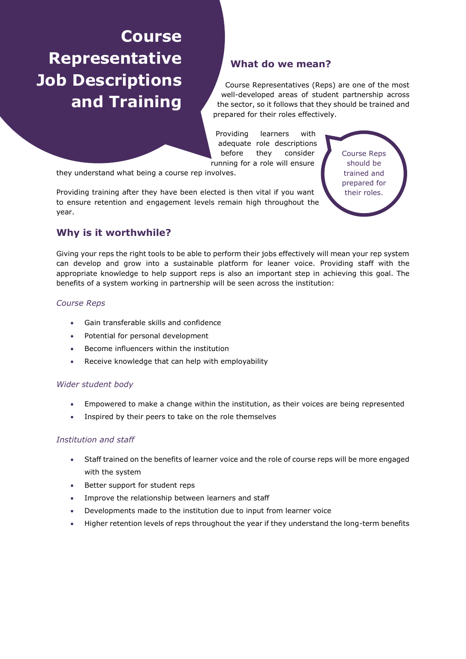# **Course Representative Job Descriptions and Training**

## **What do we mean?**

Course Representatives (Reps) are one of the most well-developed areas of student partnership across the sector, so it follows that they should be trained and prepared for their roles effectively.

Providing learners with adequate role descriptions before they consider running for a role will ensure

they understand what being a course rep involves.

Providing training after they have been elected is then vital if you want to ensure retention and engagement levels remain high throughout the year.

Course Reps should be trained and prepared for their roles.

## **Why is it worthwhile?**

Giving your reps the right tools to be able to perform their jobs effectively will mean your rep system can develop and grow into a sustainable platform for leaner voice. Providing staff with the appropriate knowledge to help support reps is also an important step in achieving this goal. The benefits of a system working in partnership will be seen across the institution:

#### *Course Reps*

- Gain transferable skills and confidence
- Potential for personal development
- Become influencers within the institution
- Receive knowledge that can help with employability

#### *Wider student body*

- Empowered to make a change within the institution, as their voices are being represented
- Inspired by their peers to take on the role themselves

#### *Institution and staff*

- Staff trained on the benefits of learner voice and the role of course reps will be more engaged with the system
- Better support for student reps
- Improve the relationship between learners and staff
- Developments made to the institution due to input from learner voice
- Higher retention levels of reps throughout the year if they understand the long-term benefits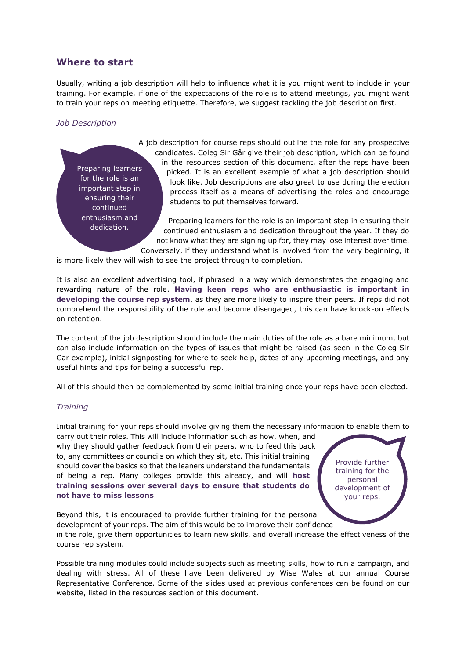## **Where to start**

Usually, writing a job description will help to influence what it is you might want to include in your training. For example, if one of the expectations of the role is to attend meetings, you might want to train your reps on meeting etiquette. Therefore, we suggest tackling the job description first.

#### *Job Description*

Preparing learners for the role is an important step in ensuring their continued enthusiasm and dedication.

A job description for course reps should outline the role for any prospective candidates. Coleg Sir Gâr give their job description, which can be found in the resources section of this document, after the reps have been picked. It is an excellent example of what a job description should look like. Job descriptions are also great to use during the election process itself as a means of advertising the roles and encourage students to put themselves forward.

Preparing learners for the role is an important step in ensuring their continued enthusiasm and dedication throughout the year. If they do not know what they are signing up for, they may lose interest over time. Conversely, if they understand what is involved from the very beginning, it

is more likely they will wish to see the project through to completion.

It is also an excellent advertising tool, if phrased in a way which demonstrates the engaging and rewarding nature of the role. **Having keen reps who are enthusiastic is important in developing the course rep system**, as they are more likely to inspire their peers. If reps did not comprehend the responsibility of the role and become disengaged, this can have knock-on effects on retention.

The content of the job description should include the main duties of the role as a bare minimum, but can also include information on the types of issues that might be raised (as seen in the Coleg Sir Gar example), initial signposting for where to seek help, dates of any upcoming meetings, and any useful hints and tips for being a successful rep.

All of this should then be complemented by some initial training once your reps have been elected.

### *Training*

Initial training for your reps should involve giving them the necessary information to enable them to carry out their roles. This will include information such as how, when, and

why they should gather feedback from their peers, who to feed this back to, any committees or councils on which they sit, etc. This initial training should cover the basics so that the leaners understand the fundamentals of being a rep. Many colleges provide this already, and will **host training sessions over several days to ensure that students do not have to miss lessons**.

Provide further training for the personal development of your reps.

Beyond this, it is encouraged to provide further training for the personal development of your reps. The aim of this would be to improve their confidence in the role, give them opportunities to learn new skills, and overall increase the effectiveness of the course rep system.

Possible training modules could include subjects such as meeting skills, how to run a campaign, and dealing with stress. All of these have been delivered by Wise Wales at our annual Course Representative Conference. Some of the slides used at previous conferences can be found on our website, listed in the resources section of this document.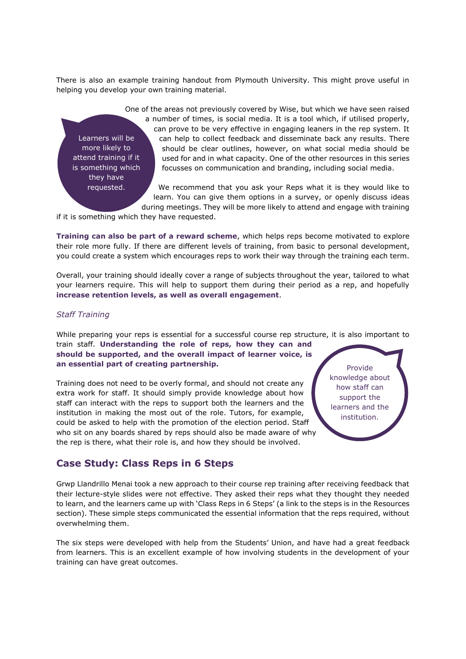There is also an example training handout from Plymouth University. This might prove useful in helping you develop your own training material.

Learners will be more likely to attend training if it is something which they have requested.

One of the areas not previously covered by Wise, but which we have seen raised a number of times, is social media. It is a tool which, if utilised properly, can prove to be very effective in engaging leaners in the rep system. It can help to collect feedback and disseminate back any results. There should be clear outlines, however, on what social media should be used for and in what capacity. One of the other resources in this series focusses on communication and branding, including social media.

We recommend that you ask your Reps what it is they would like to learn. You can give them options in a survey, or openly discuss ideas during meetings. They will be more likely to attend and engage with training

if it is something which they have requested.

**Training can also be part of a reward scheme**, which helps reps become motivated to explore their role more fully. If there are different levels of training, from basic to personal development, you could create a system which encourages reps to work their way through the training each term.

Overall, your training should ideally cover a range of subjects throughout the year, tailored to what your learners require. This will help to support them during their period as a rep, and hopefully **increase retention levels, as well as overall engagement**.

#### *Staff Training*

While preparing your reps is essential for a successful course rep structure, it is also important to train staff. **Understanding the role of reps, how they can and should be supported, and the overall impact of learner voice, is an essential part of creating partnership.** 

Training does not need to be overly formal, and should not create any extra work for staff. It should simply provide knowledge about how staff can interact with the reps to support both the learners and the institution in making the most out of the role. Tutors, for example, could be asked to help with the promotion of the election period. Staff who sit on any boards shared by reps should also be made aware of why the rep is there, what their role is, and how they should be involved.

Provide knowledge about how staff can support the learners and the institution.

### **Case Study: Class Reps in 6 Steps**

Grwp Llandrillo Menai took a new approach to their course rep training after receiving feedback that their lecture-style slides were not effective. They asked their reps what they thought they needed to learn, and the learners came up with 'Class Reps in 6 Steps' (a link to the steps is in the Resources section). These simple steps communicated the essential information that the reps required, without overwhelming them.

The six steps were developed with help from the Students' Union, and have had a great feedback from learners. This is an excellent example of how involving students in the development of your training can have great outcomes.